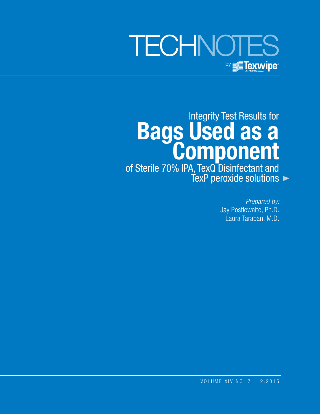# **TECHNOTES** by **Fig. Texwipe**

Integrity Test Results for **Bags Used as a Component** of Sterile 70% IPA, TexQ Disinfectant and TexP peroxide solutions

> *Prepared by:* Jay Postlewaite, Ph.D. Laura Taraban, M.D.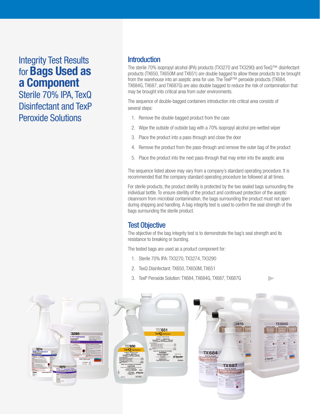# Integrity Test Results for **Bags Used as a Component**

Sterile 70% IPA, TexQ Disinfectant and TexP Peroxide Solutions

#### **Introduction**

The sterile 70% isopropyl alcohol (IPA) products (TX3270 and TX3290) and TexQ™ disinfectant products (TX650, TX650M and TX651) are double bagged to allow these products to be brought from the warehouse into an aseptic area for use. The TexP™ peroxide products (TX684, TX684G, TX687, and TX687G) are also double bagged to reduce the risk of contamination that may be brought into critical area from outer environments.

The sequence of double-bagged containers introduction into critical area consists of several steps:

- 1. Remove the double-bagged product from the case
- 2. Wipe the outside of outside bag with a 70% isopropyl alcohol pre-wetted wiper
- 3. Place the product into a pass-through and close the door
- 4. Remove the product from the pass-through and remove the outer bag of the product
- 5. Place the product into the next pass-through that may enter into the aseptic area

The sequence listed above may vary from a company's standard operating procedure. It is recommended that the company standard operating procedure be followed at all times.

For sterile products, the product sterility is protected by the two sealed bags surrounding the individual bottle. To ensure sterility of the product and continued protection of the aseptic cleanroom from microbial contamination, the bags surrounding the product must not open during shipping and handling. A bag integrity test is used to confirm the seal strength of the bags surrounding the sterile product.

#### Test Objective

The objective of the bag integrity test is to demonstrate the bag's seal strength and its resistance to breaking or bursting.

The tested bags are used as a product component for:

- 1. Sterile 70% IPA: TX3270, TX3274, TX3290
- 2. TexQ Disinfectant: TX650, TX650M, TX651
- 3. TexP Peroxide Solution: TX684, TX684G, TX687, TX687G

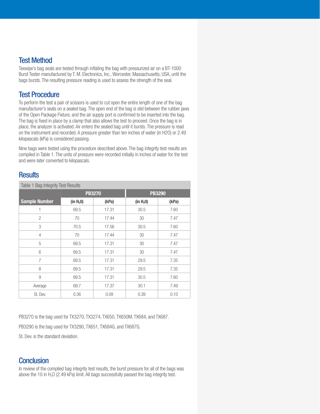#### Test Method

Texwipe's bag seals are tested through inflating the bag with pressurized air on a BT-1000 Burst Tester manufactured by T. M. Electronics, Inc., Worcester, Massachusetts, USA, until the bags bursts. The resulting pressure reading is used to assess the strength of the seal.

### Test Procedure

To perform the test a pair of scissors is used to cut open the entire length of one of the bag manufacturer's seals on a sealed bag. The open end of the bag is slid between the rubber jaws of the Open Package Fixture, and the air supply port is confirmed to be inserted into the bag. The bag is fixed in place by a clamp that also allows the test to proceed. Once the bag is in place, the analyzer is activated. Air enters the sealed bag until it bursts. The pressure is read on the instrument and recorded. A pressure greater than ten inches of water (in H2O) or 2.49 kilopascals (kPa) is considered passing.

Nine bags were tested using the procedure described above. The bag integrity test results are compiled in Table 1. The units of pressure were recorded initially in inches of water for the test and were later converted to kilopascals.

#### **Results**

| Table 1 Bag Integrity Test Results |                       |       |                       |       |
|------------------------------------|-----------------------|-------|-----------------------|-------|
|                                    | <b>PB3270</b>         |       | <b>PB3290</b>         |       |
| <b>Sample Number</b>               | (in H <sub>2</sub> 0) | (kPa) | (in H <sub>2</sub> 0) | (kPa) |
|                                    | 69.5                  | 17.31 | 30.5                  | 7.60  |
| 2                                  | 70                    | 17.44 | 30                    | 7.47  |
| 3                                  | 70.5                  | 17.56 | 30.5                  | 7.60  |
| 4                                  | 70                    | 17.44 | 30                    | 7.47  |
| 5                                  | 69.5                  | 17.31 | 30                    | 7.47  |
| 6                                  | 69.5                  | 17.31 | 30                    | 7.47  |
| 7                                  | 69.5                  | 17.31 | 29.5                  | 7.35  |
| 8                                  | 69.5                  | 17.31 | 29.5                  | 7.35  |
| 9                                  | 69.5                  | 17.31 | 30.5                  | 7.60  |
| Average                            | 69.7                  | 17.37 | 30.1                  | 7.49  |
| St. Dev.                           | 0.36                  | 0.09  | 0.39                  | 0.10  |

PB3270 is the bag used for TX3270, TX3274, TX650, TX650M, TX684, and TX687.

PB3290 is the bag used for TX3290, TX651, TX684G, and TX687G.

St. Dev. is the standard deviation.

#### **Conclusion**

In review of the compiled bag integrity test results, the burst pressure for all of the bags was above the 10 in  $H_2O$  (2.49 kPa) limit. All bags successfully passed the bag integrity test.